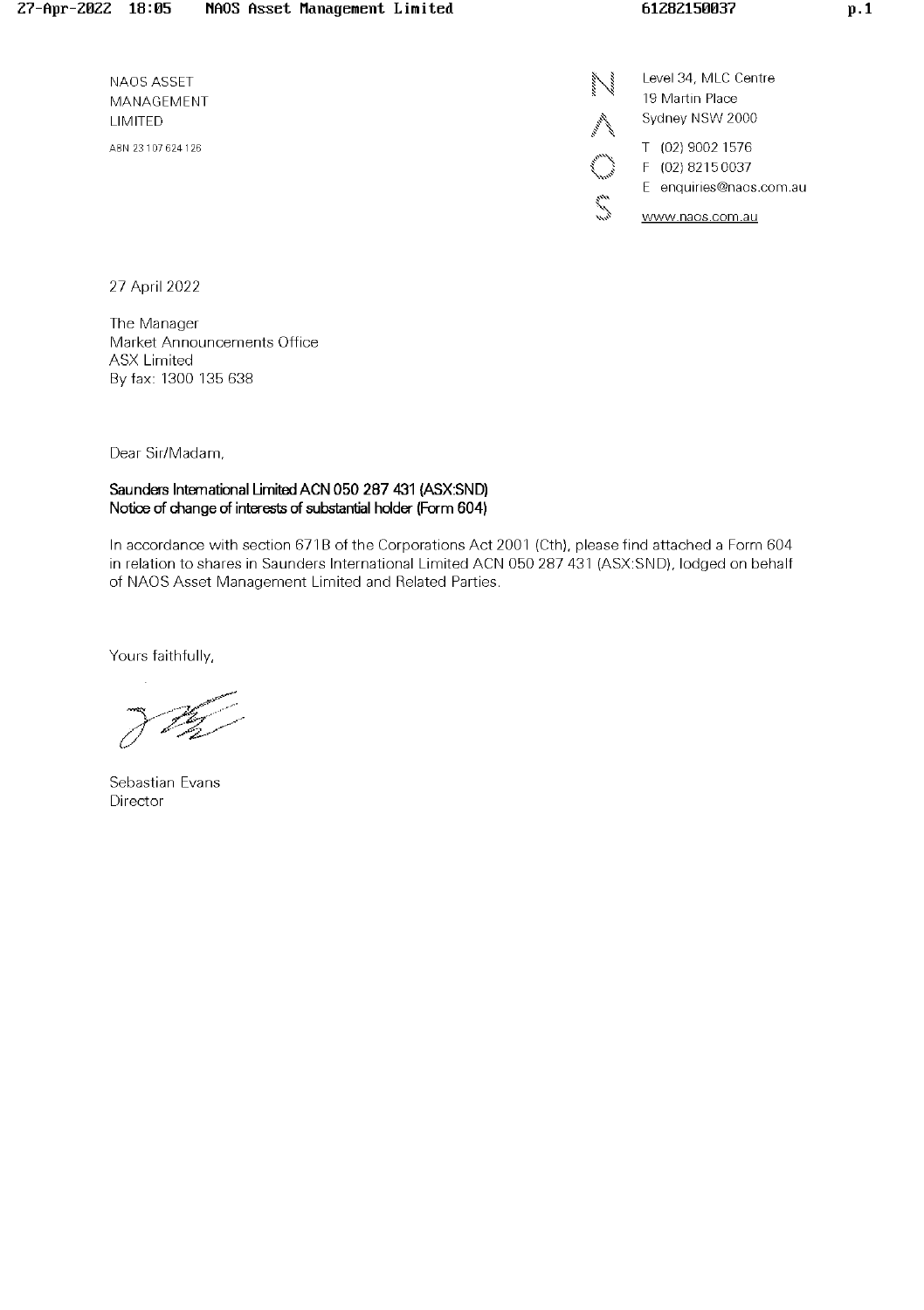NAOS ASSET MANAGEMENT LIMITED ABN 23 107 624 126

Level 34, MLC Centre 19 Martin Place Sydney NSW 2000

T (02) 9002 1576

i<br>Vite<br>Sama

F (02) 8215 0037

E enquiries@naos.com.au

www.naos.com.au

27 April 2022

The Manager Market Announcements Office **ASX Limited** By fax: 1300 135 638

Dear Sir/Madam,

### Saunders International Limited ACN 050 287 431 (ASX:SND) Notice of change of interests of substantial holder (Form 604)

In accordance with section 671B of the Corporations Act 2001 (Cth), please find attached a Form 604 in relation to shares in Saunders International Limited ACN 050 287 431 (ASX:SND), lodged on behalf of NAOS Asset Management Limited and Related Parties.

Yours faithfully,

Sebastian Evans Director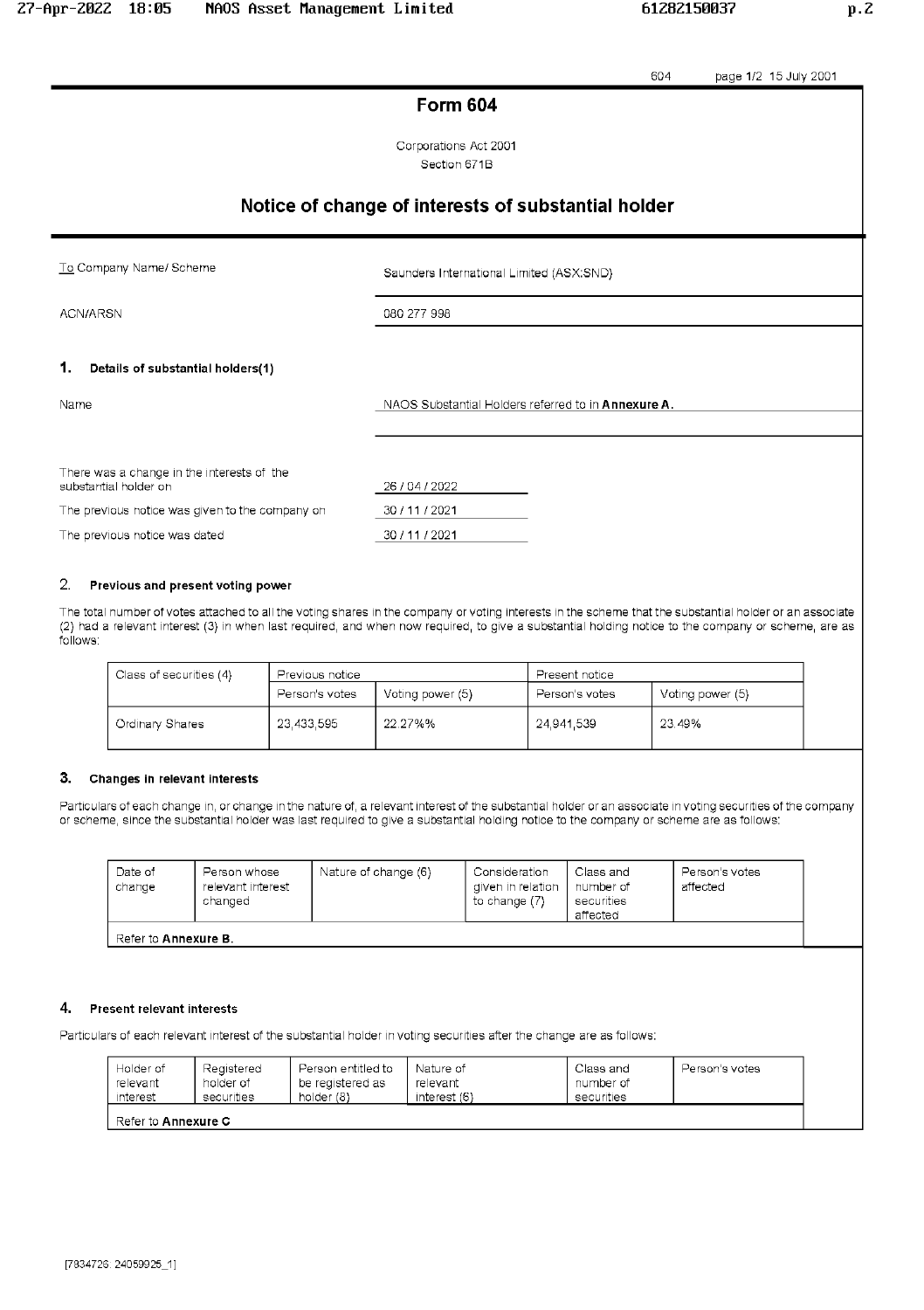page 1/2 15 July 2001 604 **Form 604** Corporations Act 2001 Section 671B Notice of change of interests of substantial holder To Company Name/ Scheme Saunders International Limited (ASX:SND) ACN/ARSN 080 277 998 1. Details of substantial holders(1) NAOS Substantial Holders referred to in Annexure A. Name There was a change in the interests of the substantial holder on 26/04/2022 The previous notice was given to the company on 30 / 11 / 2021 The previous notice was dated 30 / 11 / 2021

#### 2. Previous and present voting power

The total number of votes attached to all the voting shares in the company or voting interests in the scheme that the substantial holder or an associate (2) had a relevant interest (3) in when last required, and when now required, to give a substantial holding notice to the company or scheme, are as follows:

| Class of securities (4) | Previous notice |                  | Present notice |                  |
|-------------------------|-----------------|------------------|----------------|------------------|
|                         | Person's votes  | Voting power (5) | Person's votes | Voting power (5) |
| Ordinary Shares         | 23,433,595      | 22.27%%          | 24.941.539     | 23.49%           |

#### 3. Changes in relevant interests

Particulars of each change in, or change in the nature of, a relevant interest of the substantial holder or an associate in voting securities of the company or scheme, since the substantial holder was last required to give a substantial holding notice to the company or scheme are as follows:

| Date of<br>change           | Person whose<br>relevant interest<br>changed | Nature of change (6) | Consideration<br>diven in relation<br>to change (7) | Class and<br>number of<br>securities<br>affected | Person's votes<br>affected |  |  |
|-----------------------------|----------------------------------------------|----------------------|-----------------------------------------------------|--------------------------------------------------|----------------------------|--|--|
| Refer to <b>Annexure B.</b> |                                              |                      |                                                     |                                                  |                            |  |  |

#### 4. Present relevant interests

Particulars of each relevant interest of the substantial holder in voting securities after the change are as follows:

| Holder of                  | Registered | Person entitled to | Nature of    | Class and  | Person's votes |  |  |
|----------------------------|------------|--------------------|--------------|------------|----------------|--|--|
| relevant                   | holder of  | be registered as   | relevant     | number of  |                |  |  |
| interest                   | securities | holder (8)         | interest (6) | securities |                |  |  |
| Refer to <b>Annexure C</b> |            |                    |              |            |                |  |  |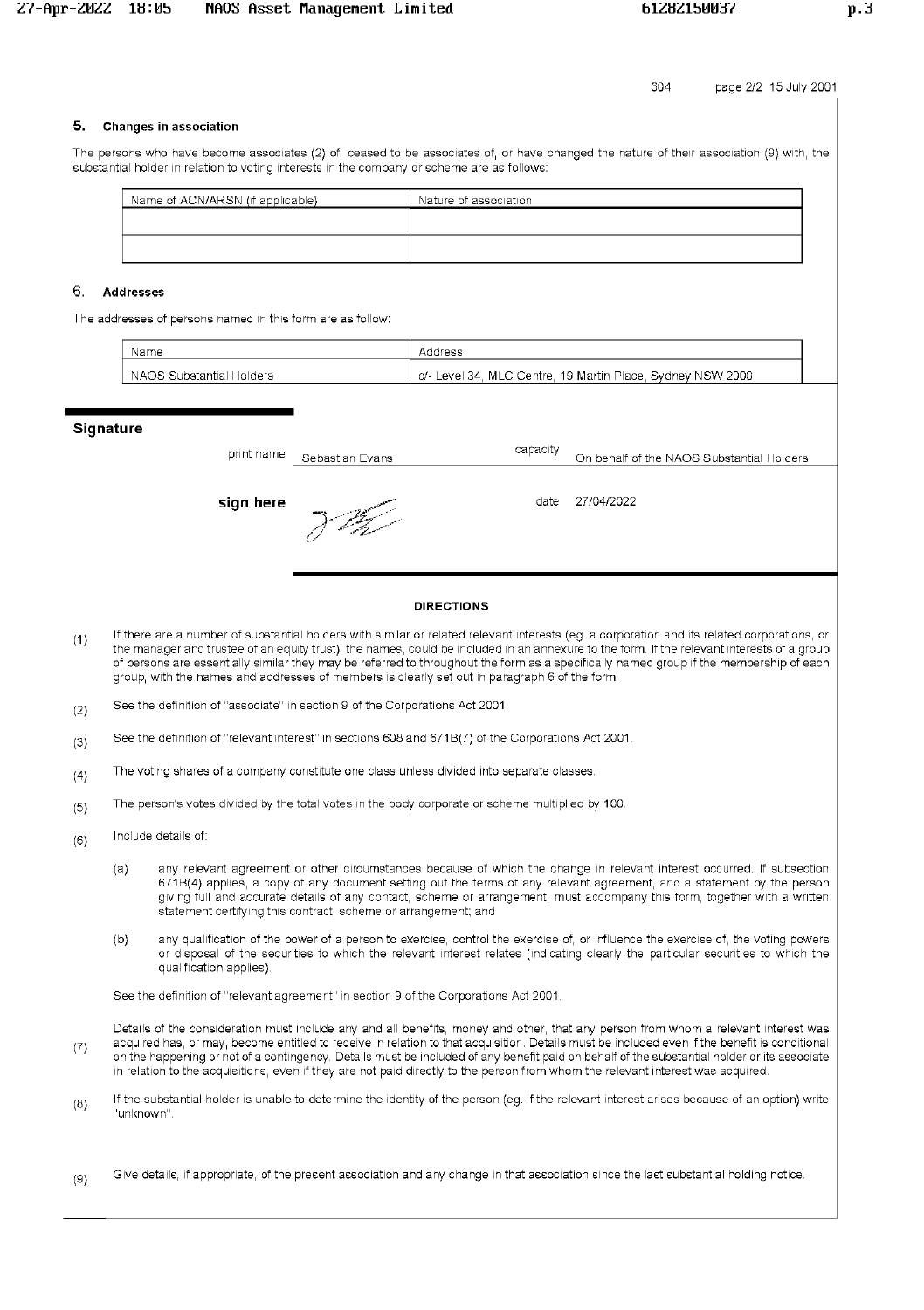604 page 2/2 15 July 2001

# 5. Changes in association

The persons who have become associates (2) of, ceased to be associates of, or have changed the nature of their association (9) with, the substantial holder in relation to voting interests in the company or scheme are as follows:

| Name of ACN/ARSN (if applicable) | Nature of association |
|----------------------------------|-----------------------|
|                                  |                       |
|                                  |                       |
|                                  |                       |

# 6. Addresses

The addresses of persons named in this form are as follow:

| Name                     | Address                                                    |
|--------------------------|------------------------------------------------------------|
| NAOS Substantial Holders | c/- Level 34, MLC Centre, 19 Martin Place, Sydney NSW 2000 |

### **Signature**

| print name | Sebastian Evans | capacity | On behalf of the NAOS Substantial Holders |
|------------|-----------------|----------|-------------------------------------------|
| sign here  | <b>WATER</b>    | date     | 27/04/2022                                |
|            |                 |          |                                           |

### **DIRECTIONS**

- If there are a number of substantial holders with similar or related relevant interests (eg. a corporation and its related corporations, or  $(1)$ the manager and trustee of an equity trust), the names, could be included in an annexure to the form. If the relevant interests of a group of persons are essentially similar they may be referred to throughout the form as a specifically named group if the membership of each group, with the names and addresses of members is clearly set out in paragraph 6 of the form.
- See the definition of "associate" in section 9 of the Corporations Act 2001.  $(2)$
- See the definition of "relevant interest" in sections 608 and 671B(7) of the Corporations Act 2001  $(3)$
- The voting shares of a company constitute one class unless divided into separate classes.  $(4)$
- The person's votes divided by the total votes in the body corporate or scheme multiplied by 100.  $(5)$
- Include details of:  $(6)$ 
	- $(a)$ any relevant agreement or other circumstances because of which the change in relevant interest occurred. If subsection 671B(4) applies, a copy of any document setting out the terms of any relevant agreement, and a statement by the person giving full and accurate details of any contact, scheme or arrangement, must accompany this form, together with a written statement certifying this contract, scheme or arrangement; and
	- any qualification of the power of a person to exercise, control the exercise of, or influence the exercise of, the voting powers  $(b)$ or disposal of the securities to which the relevant interest relates (indicating clearly the particular securities to which the qualification applies)

See the definition of "relevant agreement" in section 9 of the Corporations Act 2001.

Details of the consideration must include any and all benefits, money and other, that any person from whom a relevant interest was acquired has, or may, become entitled to receive in relation to that acquisition. Details must be included even if the benefit is conditional  $(7)$ on the happening or not of a contingency. Details must be included of any benefit paid on behalf of the substantial holder or its associate in relation to the acquisitions, even if they are not paid directly to the person from whom the relevant interest was acquired.

- If the substantial holder is unable to determine the identity of the person (eg. if the relevant interest arises because of an option) write  $(8)$ "unknown".
- Give details, if appropriate, of the present association and any change in that association since the last substantial holding notice.  $(9)$